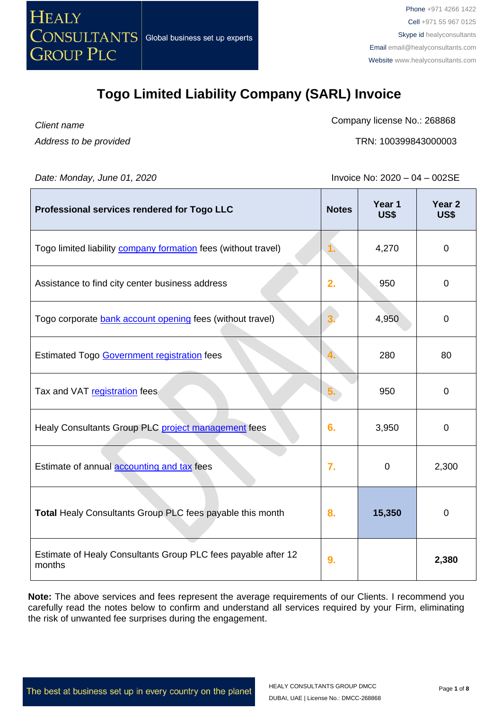

*Client name Address to be provided* Company license No.: 268868

TRN: 100399843000003

*Date: Monday, June 01, 2020* **Invoice No: 2020** – 04 – 002SE

| Professional services rendered for Togo LLC                             | <b>Notes</b>   | Year 1<br>US\$ | Year <sub>2</sub><br>US\$ |
|-------------------------------------------------------------------------|----------------|----------------|---------------------------|
| Togo limited liability <b>company formation</b> fees (without travel)   | $\mathbf{1}$ . | 4,270          | $\mathbf 0$               |
| Assistance to find city center business address                         | 2.             | 950            | $\mathbf 0$               |
| Togo corporate bank account opening fees (without travel)               | 3.             | 4,950          | $\mathbf 0$               |
| <b>Estimated Togo Government registration fees</b>                      |                | 280            | 80                        |
| Tax and VAT registration fees                                           | 5.             | 950            | $\mathbf 0$               |
| Healy Consultants Group PLC project management fees                     | 6.             | 3,950          | $\mathbf 0$               |
| Estimate of annual <b>accounting and tax</b> fees                       | 7.             | $\mathbf 0$    | 2,300                     |
| Total Healy Consultants Group PLC fees payable this month               | 8.             | 15,350         | $\mathbf 0$               |
| Estimate of Healy Consultants Group PLC fees payable after 12<br>months | 9.             |                | 2,380                     |

**Note:** The above services and fees represent the average requirements of our Clients. I recommend you carefully read the notes below to confirm and understand all services required by your Firm, eliminating the risk of unwanted fee surprises during the engagement.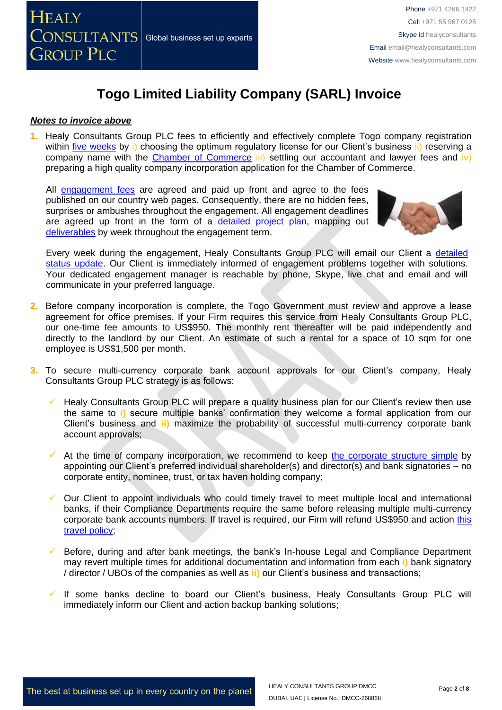

#### *Notes to invoice above*

**1.** Healy Consultants Group PLC fees to efficiently and effectively complete Togo company registration within five [weeks](http://www.healyconsultants.com/togo-company-registration/fees-timelines/) by i) choosing the optimum regulatory license for our Client's business ii) reserving a company name with the [Chamber of Commerce](http://www.ccit.tg/) iii) settling our accountant and lawyer fees and iv) preparing a high quality company incorporation application for the Chamber of Commerce.

All [engagement fees](http://www.healyconsultants.com/company-registration-fees/) are agreed and paid up front and agree to the fees published on our country web pages. Consequently, there are no hidden fees, surprises or ambushes throughout the engagement. All engagement deadlines are agreed up front in the form of a [detailed project plan,](http://www.healyconsultants.com/index-important-links/example-project-plan/) mapping out [deliverables](http://www.healyconsultants.com/deliverables-to-our-clients/) by week throughout the engagement term.



Every week during the engagement, Healy Consultants Group PLC will email our Client a [detailed](http://www.healyconsultants.com/index-important-links/weekly-engagement-status-email/)  [status update.](http://www.healyconsultants.com/index-important-links/weekly-engagement-status-email/) Our Client is immediately informed of engagement problems together with solutions. Your dedicated engagement manager is reachable by phone, Skype, live chat and email and will communicate in your preferred language.

- **2.** Before company incorporation is complete, the Togo Government must review and approve a lease agreement for office premises. If your Firm requires this service from Healy Consultants Group PLC, our one-time fee amounts to US\$950. The monthly rent thereafter will be paid independently and directly to the landlord by our Client. An estimate of such a rental for a space of 10 sqm for one employee is US\$1,500 per month.
- **3.** To secure multi-currency corporate bank account approvals for our Client's company, Healy Consultants Group PLC strategy is as follows:
	- Healy Consultants Group PLC will prepare a quality business plan for our Client's review then use the same to **i)** secure multiple banks' confirmation they welcome a formal application from our Client's business and **ii)** maximize the probability of successful multi-currency corporate bank account approvals;
	- At the time of company incorporation, we recommend to keep [the corporate structure simple](https://www.healyconsultants.com/about-us/complex-client-engagements/simplify-business-setup/) by appointing our Client's preferred individual shareholder(s) and director(s) and bank signatories – no corporate entity, nominee, trust, or tax haven holding company;
	- ✓ Our Client to appoint individuals who could timely travel to meet multiple local and international banks, if their Compliance Departments require the same before releasing multiple multi-currency corporate bank accounts numbers. If travel is required, our Firm will refund US\$950 and action this travel [policy;](https://www.healyconsultants.com/index-important-links/clients-travel-engagement/)
	- Before, during and after bank meetings, the bank's In-house Legal and Compliance Department may revert multiple times for additional documentation and information from each **i)** bank signatory / director / UBOs of the companies as well as **ii)** our Client's business and transactions;
	- If some banks decline to board our Client's business, Healy Consultants Group PLC will immediately inform our Client and action backup banking solutions;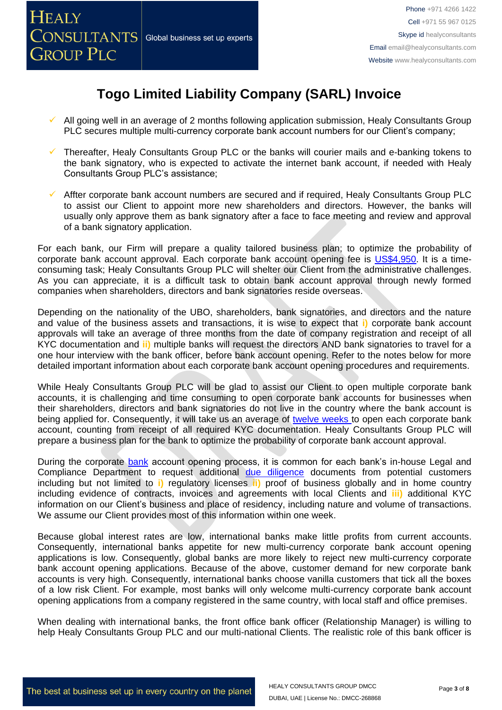- All going well in an average of 2 months following application submission, Healy Consultants Group PLC secures multiple multi-currency corporate bank account numbers for our Client's company;
- ✓ Thereafter, Healy Consultants Group PLC or the banks will courier mails and e-banking tokens to the bank signatory, who is expected to activate the internet bank account, if needed with Healy Consultants Group PLC's assistance;
- ✓ Affter corporate bank account numbers are secured and if required, Healy Consultants Group PLC to assist our Client to appoint more new shareholders and directors. However, the banks will usually only approve them as bank signatory after a face to face meeting and review and approval of a bank signatory application.

For each bank, our Firm will prepare a quality tailored business plan; to optimize the probability of corporate bank account approval. Each corporate bank account opening fee is [US\\$4,950.](https://www.healyconsultants.com/global-corporate-banking-for-resident-company/) It is a timeconsuming task; Healy Consultants Group PLC will shelter our Client from the administrative challenges. As you can appreciate, it is a difficult task to obtain bank account approval through newly formed companies when shareholders, directors and bank signatories reside overseas.

Depending on the nationality of the UBO, shareholders, bank signatories, and directors and the nature and value of the business assets and transactions, it is wise to expect that **i)** corporate bank account approvals will take an average of three months from the date of company registration and receipt of all KYC documentation and **ii)** multiple banks will request the directors AND bank signatories to travel for a one hour interview with the bank officer, before bank account opening. Refer to the notes below for more detailed important information about each corporate bank account opening procedures and requirements.

While Healy Consultants Group PLC will be glad to assist our Client to open multiple corporate bank accounts, it is challenging and time consuming to open corporate bank accounts for businesses when their shareholders, directors and bank signatories do not live in the country where the bank account is being applied for. Consequently, it will take us an average of [twelve weeks](http://www.healyconsultants.com/international-banking/bitcoin-business-bank-account/) to open each corporate bank account, counting from receipt of all required KYC documentation. Healy Consultants Group PLC will prepare a business plan for the bank to optimize the probability of corporate bank account approval.

During the corporate bank account opening process, it is common for each bank's in-house Legal and Compliance Department to request additional [due diligence](http://www.healyconsultants.com/due-diligence/) documents from potential customers including but not limited to **i)** regulatory licenses **ii)** proof of business globally and in home country including evidence of contracts, invoices and agreements with local Clients and **iii)** additional KYC information on our Client's business and place of residency, including nature and volume of transactions. We assume our Client provides most of this information within one week.

Because global interest rates are low, international banks make little profits from current accounts. Consequently, international banks appetite for new multi-currency corporate bank account opening applications is low. Consequently, global banks are more likely to reject new multi-currency corporate bank account opening applications. Because of the above, customer demand for new corporate bank accounts is very high. Consequently, international banks choose vanilla customers that tick all the boxes of a low risk Client. For example, most banks will only welcome multi-currency corporate bank account opening applications from a company registered in the same country, with local staff and office premises.

When dealing with international banks, the front office bank officer (Relationship Manager) is willing to help Healy Consultants Group PLC and our multi-national Clients. The realistic role of this bank officer is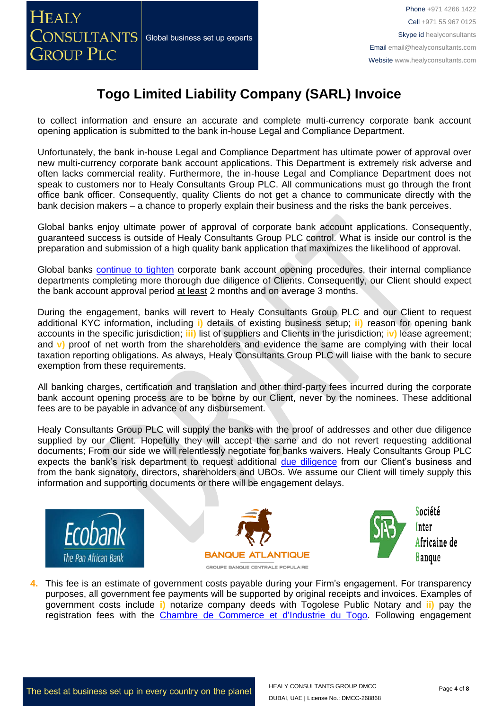to collect information and ensure an accurate and complete multi-currency corporate bank account opening application is submitted to the bank in-house Legal and Compliance Department.

Unfortunately, the bank in-house Legal and Compliance Department has ultimate power of approval over new multi-currency corporate bank account applications. This Department is extremely risk adverse and often lacks commercial reality. Furthermore, the in-house Legal and Compliance Department does not speak to customers nor to Healy Consultants Group PLC. All communications must go through the front office bank officer. Consequently, quality Clients do not get a chance to communicate directly with the bank decision makers – a chance to properly explain their business and the risks the bank perceives.

Global banks enjoy ultimate power of approval of corporate bank account applications. Consequently, guaranteed success is outside of Healy Consultants Group PLC control. What is inside our control is the preparation and submission of a high quality bank application that maximizes the likelihood of approval.

Global banks [continue to tighten](https://www.healyconsultants.com/international-banking/opening-corporate-bank-accounts/) corporate bank account opening procedures, their internal compliance departments completing more thorough due diligence of Clients. Consequently, our Client should expect the bank account approval period at least 2 months and on average 3 months.

During the engagement, banks will revert to Healy Consultants Group PLC and our Client to request additional KYC information, including **i)** details of existing business setup; **ii)** reason for opening bank accounts in the specific jurisdiction; **iii)** list of suppliers and Clients in the jurisdiction; i**v)** lease agreement; and **v)** proof of net worth from the shareholders and evidence the same are complying with their local taxation reporting obligations. As always, Healy Consultants Group PLC will liaise with the bank to secure exemption from these requirements.

All banking charges, certification and translation and other third-party fees incurred during the corporate bank account opening process are to be borne by our Client, never by the nominees. These additional fees are to be payable in advance of any disbursement.

Healy Consultants Group PLC will supply the banks with the proof of addresses and other due diligence supplied by our Client. Hopefully they will accept the same and do not revert requesting additional documents; From our side we will relentlessly negotiate for banks waivers. Healy Consultants Group PLC expects the bank's risk department to request additional [due diligence](http://www.healyconsultants.com/due-diligence/) from our Client's business and from the bank signatory, directors, shareholders and UBOs. We assume our Client will timely supply this information and supporting documents or there will be engagement delays.







Société Inter Africaine de **Banque** 

**4.** This fee is an estimate of government costs payable during your Firm's engagement. For transparency purposes, all government fee payments will be supported by original receipts and invoices. Examples of government costs include **i)** notarize company deeds with Togolese Public Notary and **ii)** pay the registration fees with the [Chambre de Commerce et d'Industrie du Togo.](http://www.ccit.tg/) Following engagement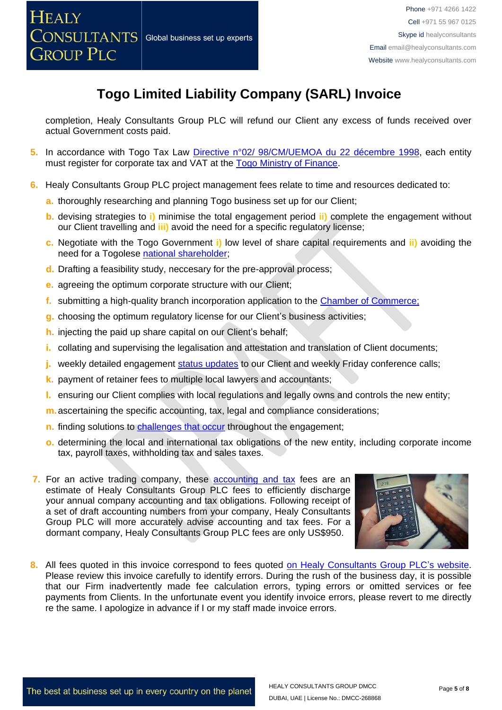completion, Healy Consultants Group PLC will refund our Client any excess of funds received over actual Government costs paid.

- **5.** In accordance with Togo Tax Law [Directive n°02/ 98/CM/UEMOA du 22 décembre 1998,](http://www.droit-afrique.com/images/textes/Afrique_Ouest/UEMOA%20-%20Directive%20TVA.pdf) each entity must register for corporate tax and VAT at the Togo [Ministry of Finance.](http://www.republicoftogo.com/Toutes-les-rubriques/Finances)
- **6.** Healy Consultants Group PLC project management fees relate to time and resources dedicated to:
	- **a.** thoroughly researching and planning Togo business set up for our Client;
	- **b.** devising strategies to **i)** minimise the total engagement period **ii)** complete the engagement without our Client travelling and **iii)** avoid the need for a specific regulatory license;
	- **c.** Negotiate with the Togo Government **i)** low level of share capital requirements and **ii)** avoiding the need for a Togolese national [shareholder;](http://www.healyconsultants.com/corporate-advisory-services/nominee-shareholders-directors/national-shareholder-services/)
	- **d.** Drafting a feasibility study, neccesary for the pre-approval process;
	- **e.** agreeing the optimum corporate structure with our Client;
	- **f.** submitting a high-quality branch incorporation application to the [Chamber of Commerce;](http://www.ccit.tg/)
	- **g.** choosing the optimum regulatory license for our Client's business activities;
	- **h.** injecting the paid up share capital on our Client's behalf;
	- **i.** collating and supervising the legalisation and attestation and translation of Client documents;
	- **j.** weekly detailed engagement [status updates](http://www.healyconsultants.com/index-important-links/weekly-engagement-status-email/) to our Client and weekly Friday conference calls;
	- **k.** payment of retainer fees to multiple local lawyers and accountants;
	- **l.** ensuring our Client complies with local regulations and legally owns and controls the new entity;
	- **m.**ascertaining the specific accounting, tax, legal and compliance considerations;
	- **n.** finding solutions to [challenges that occur](http://www.healyconsultants.com/engagement-project-management/) throughout the engagement;
	- **o.** determining the local and international tax obligations of the new entity, including corporate income tax, payroll taxes, withholding tax and sales taxes.
- **7.** For an active trading company, these accounting and tax fees are an estimate of Healy Consultants Group PLC fees to efficiently discharge your annual company accounting and tax obligations. Following receipt of a set of draft accounting numbers from your company, Healy Consultants Group PLC will more accurately advise accounting and tax fees. For a dormant company, Healy Consultants Group PLC fees are only US\$950.



**8.** All fees quoted in this invoice correspond to fees quoted [on Healy Consultants Group PLC's](http://www.healyconsultants.com/company-registration-fees/) website. Please review this invoice carefully to identify errors. During the rush of the business day, it is possible that our Firm inadvertently made fee calculation errors, typing errors or omitted services or fee payments from Clients. In the unfortunate event you identify invoice errors, please revert to me directly re the same. I apologize in advance if I or my staff made invoice errors.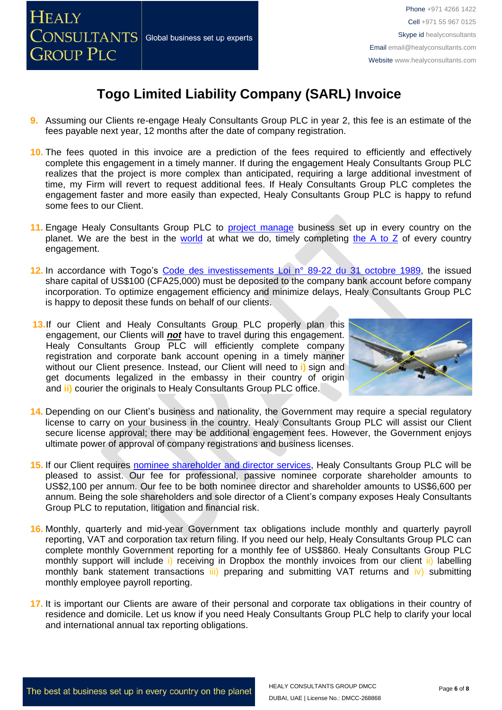

- **9.** Assuming our Clients re-engage Healy Consultants Group PLC in year 2, this fee is an estimate of the fees payable next year, 12 months after the date of company registration.
- **10.** The fees quoted in this invoice are a prediction of the fees required to efficiently and effectively complete this engagement in a timely manner. If during the engagement Healy Consultants Group PLC realizes that the project is more complex than anticipated, requiring a large additional investment of time, my Firm will revert to request additional fees. If Healy Consultants Group PLC completes the engagement faster and more easily than expected, Healy Consultants Group PLC is happy to refund some fees to our Client.
- 11. Engage Healy Consultants Group PLC to **project manage** business set up in every country on the planet. We are the best in the [world](http://www.healyconsultants.com/best-in-the-world/) at what we do, timely completing the A to  $Z$  of every country engagement.
- **12.** In accordance with Togo's [Code des investissements Loi n° 89-22 du 31 octobre 1989,](http://www.droit-afrique.com/images/textes/Togo/Togo%20-%20Code%20des%20investissements.pdf) the issued share capital of US\$100 (CFA25,000) must be deposited to the company bank account before company incorporation. To optimize engagement efficiency and minimize delays, Healy Consultants Group PLC is happy to deposit these funds on behalf of our clients.
- 13.If our Client and Healy Consultants Group PLC properly plan this engagement, our Clients will *not* have to travel during this engagement. Healy Consultants Group PLC will efficiently complete company registration and corporate bank account opening in a timely manner without our Client presence. Instead, our Client will need to **i)** sign and get documents legalized in the embassy in their country of origin and **ii)** courier the originals to Healy Consultants Group PLC office.



- **14.** Depending on our Client's business and nationality, the Government may require a special regulatory license to carry on your business in the country. Healy Consultants Group PLC will assist our Client secure license approval; there may be additional engagement fees. However, the Government enjoys ultimate power of approval of company registrations and business licenses.
- 15. If our Client requires [nominee shareholder and director services,](http://www.healyconsultants.com/corporate-outsourcing-services/nominee-shareholders-directors/) Healy Consultants Group PLC will be pleased to assist. Our fee for professional, passive nominee corporate shareholder amounts to US\$2,100 per annum. Our fee to be both nominee director and shareholder amounts to US\$6,600 per annum. Being the sole shareholders and sole director of a Client's company exposes Healy Consultants Group PLC to reputation, litigation and financial risk.
- **16.** Monthly, quarterly and mid-year Government tax obligations include monthly and quarterly payroll reporting, VAT and corporation tax return filing. If you need our help, Healy Consultants Group PLC can complete monthly Government reporting for a monthly fee of US\$860. Healy Consultants Group PLC monthly support will include i) receiving in Dropbox the monthly invoices from our client ii) labelling monthly bank statement transactions iii) preparing and submitting VAT returns and iv) submitting monthly employee payroll reporting.
- **17.** It is important our Clients are aware of their personal and corporate tax obligations in their country of residence and domicile. Let us know if you need Healy Consultants Group PLC help to clarify your local and international annual tax reporting obligations.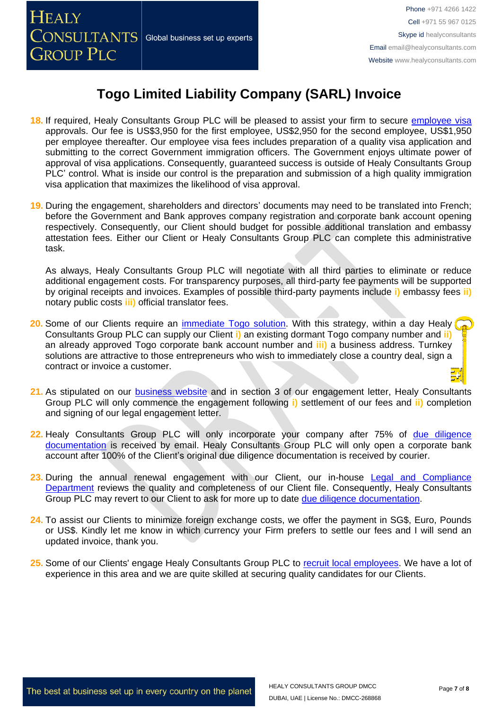

- **18.** If required, Healy Consultants Group PLC will be pleased to assist your firm to secure [employee visa](https://www.healyconsultants.com/corporate-advisory-services/migration/) approvals. Our fee is US\$3,950 for the first employee, US\$2,950 for the second employee, US\$1,950 per employee thereafter. Our employee visa fees includes preparation of a quality visa application and submitting to the correct Government immigration officers. The Government enjoys ultimate power of approval of visa applications. Consequently, guaranteed success is outside of Healy Consultants Group PLC' control. What is inside our control is the preparation and submission of a high quality immigration visa application that maximizes the likelihood of visa approval.
- **19.** During the engagement, shareholders and directors' documents may need to be translated into French; before the Government and Bank approves company registration and corporate bank account opening respectively. Consequently, our Client should budget for possible additional translation and embassy attestation fees. Either our Client or Healy Consultants Group PLC can complete this administrative task.

As always, Healy Consultants Group PLC will negotiate with all third parties to eliminate or reduce additional engagement costs. For transparency purposes, all third-party fee payments will be supported by original receipts and invoices. Examples of possible third-party payments include **i)** embassy fees **ii)** notary public costs **iii)** official translator fees.

- **20.** Some of our Clients require an [immediate Togo](http://www.healyconsultants.com/turnkey-solutions/) solution. With this strategy, within a day Healy ( Consultants Group PLC can supply our Client **i)** an existing dormant Togo company number and **ii)** an already approved Togo corporate bank account number and **iii)** a business address. Turnkey solutions are attractive to those entrepreneurs who wish to immediately close a country deal, sign a contract or invoice a customer.
- 21. As stipulated on our [business website](http://www.healyconsultants.com/) and in section 3 of our engagement letter, Healy Consultants Group PLC will only commence the engagement following **i)** settlement of our fees and **ii)** completion and signing of our legal engagement letter.
- **22.** Healy Consultants Group PLC will only incorporate your company after 75% of [due diligence](http://www.healyconsultants.com/due-diligence/)  [documentation](http://www.healyconsultants.com/due-diligence/) is received by email. Healy Consultants Group PLC will only open a corporate bank account after 100% of the Client's original due diligence documentation is received by courier.
- 23. During the annual renewal engagement with our Client, our in-house Legal and Compliance **[Department](http://www.healyconsultants.com/about-us/key-personnel/cai-xin-profile/)** reviews the quality and completeness of our Client file. Consequently, Healy Consultants Group PLC may revert to our Client to ask for more up to date [due diligence documentation.](http://www.healyconsultants.com/due-diligence/)
- 24. To assist our Clients to minimize foreign exchange costs, we offer the payment in SG\$, Euro, Pounds or US\$. Kindly let me know in which currency your Firm prefers to settle our fees and I will send an updated invoice, thank you.
- 25. Some of our Clients' engage Healy Consultants Group PLC to recruit [local employees.](http://www.healyconsultants.com/corporate-outsourcing-services/how-we-help-our-clients-recruit-quality-employees/) We have a lot of experience in this area and we are quite skilled at securing quality candidates for our Clients.